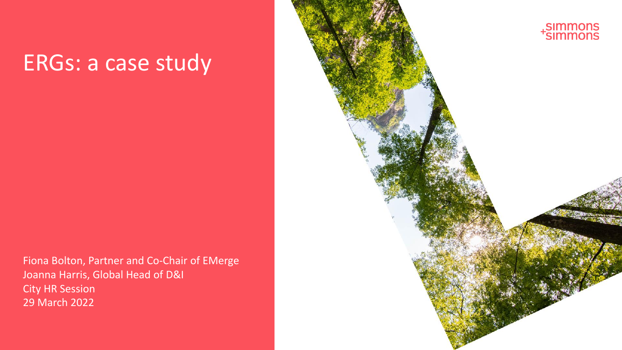# ERGs: a case study

Fiona Bolton, Partner and Co-Chair of EMerge Joanna Harris, Global Head of D&I City HR Session 29 March 2022

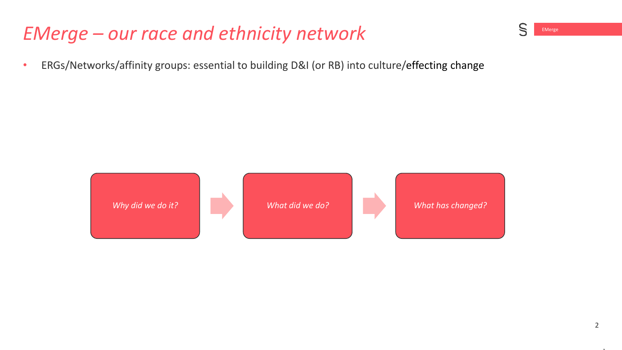#### *EMerge – our race and ethnicity network*

• ERGs/Networks/affinity groups: essential to building D&I (or RB) into culture/effecting change



 $\mathcal{S}$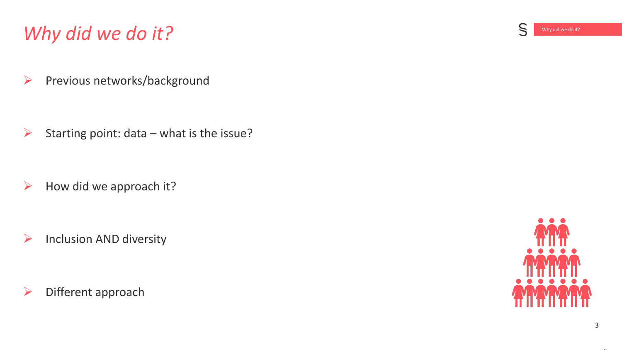### *Why did we do it?*

➢ Previous networks/background

 $\triangleright$  Starting point: data – what is the issue?

 $\triangleright$  How did we approach it?

 $\triangleright$  Inclusion AND diversity

➢ Different approach





S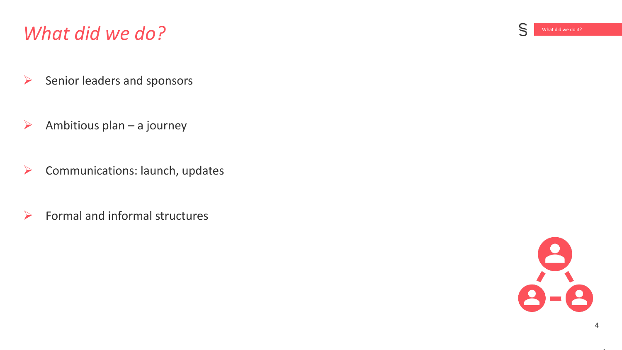#### *What did we do?*

- $\triangleright$  Senior leaders and sponsors
- $\triangleright$  Ambitious plan a journey
- $\triangleright$  Communications: launch, updates
- $\triangleright$  Formal and informal structures





S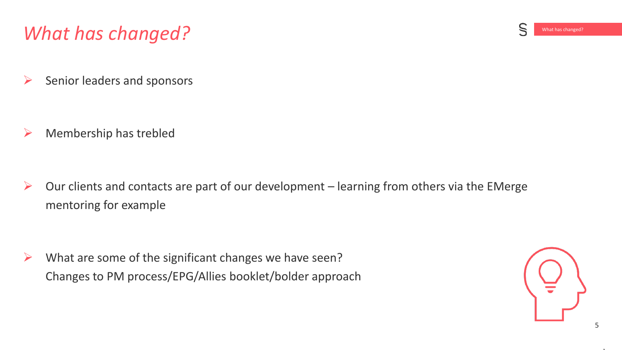## *What has changed?*

Senior leaders and sponsors

 $\triangleright$  Membership has trebled

 $\triangleright$  Our clients and contacts are part of our development – learning from others via the EMerge mentoring for example

 $\triangleright$  What are some of the significant changes we have seen? Changes to PM process/EPG/Allies booklet/bolder approach

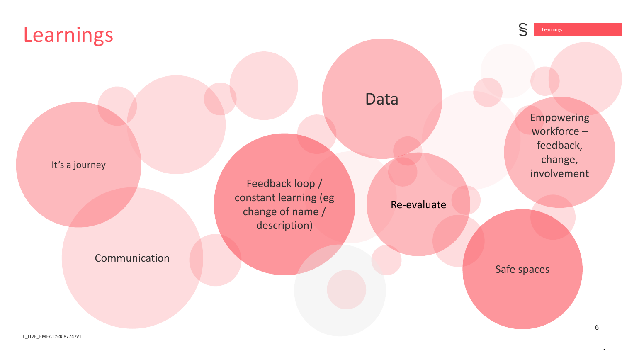

It's a journey

Communication

Feedback loop / constant learning (eg change of name / description)

Re-evaluate

Data

**Empowering** workforce – feedback, change, involvement

Safe spaces

S